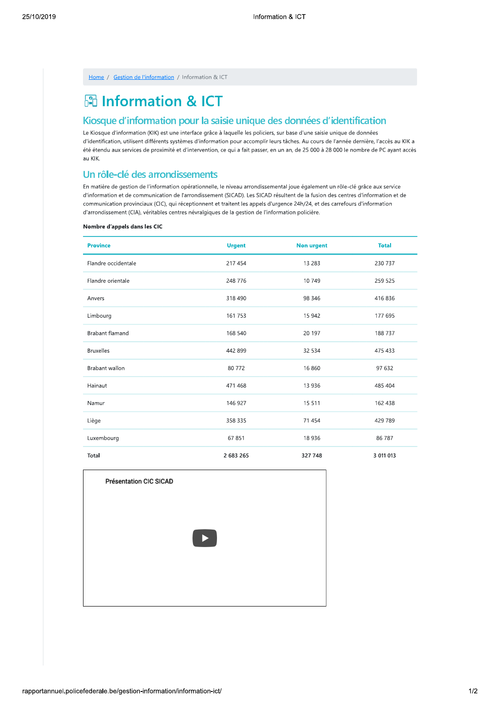| Home |  | Gestion de l'information |  | Information & ICT |  |
|------|--|--------------------------|--|-------------------|--|
|------|--|--------------------------|--|-------------------|--|

# 岡 Information & ICT

## Kiosque d'information pour la saisie unique des données d'identification

Le Kiosque d'information (KIK) est une interface grâce à laquelle les policiers, sur base d'une saisie unique de données d'identification, utilisent différents systèmes d'information pour accomplir leurs tâches. Au cours de l'année dernière, l'accès au KIK a été étendu aux services de proximité et d'intervention, ce qui a fait passer, en un an, de 25 000 à 28 000 le nombre de PC ayant accès au KIK.

## Un rôle-clé des arrondissements

En matière de gestion de l'information opérationnelle, le niveau arrondissemental joue également un rôle-clé grâce aux service d'information et de communication de l'arrondissement (SICAD). Les SICAD résultent de la fusion des centres d'information et de communication provinciaux (CIC), qui réceptionnent et traitent les appels d'urgence 24h/24, et des carrefours d'information d'arrondissement (CIA), véritables centres névralgiques de la gestion de l'information policière.

#### Nombre d'appels dans les CIC

| <b>Province</b>     | <b>Urgent</b> | <b>Non urgent</b> | <b>Total</b> |
|---------------------|---------------|-------------------|--------------|
| Flandre occidentale | 217 454       | 13 283            | 230 737      |
| Flandre orientale   | 248 776       | 10749             | 259 525      |
| Anvers              | 318 490       | 98 346            | 416 836      |
| Limbourg            | 161 753       | 15 942            | 177 695      |
| Brabant flamand     | 168 540       | 20 197            | 188737       |
| <b>Bruxelles</b>    | 442 899       | 32 5 34           | 475 433      |
| Brabant wallon      | 80 772        | 16 860            | 97 632       |
| Hainaut             | 471 468       | 13 9 36           | 485 404      |
| Namur               | 146 927       | 15 5 11           | 162 438      |
| Liège               | 358 335       | 71 454            | 429 789      |
| Luxembourg          | 67851         | 18 9 36           | 86 787       |
| Total               | 2 683 265     | 327 748           | 3 011 013    |

Présentation CIC SICAD